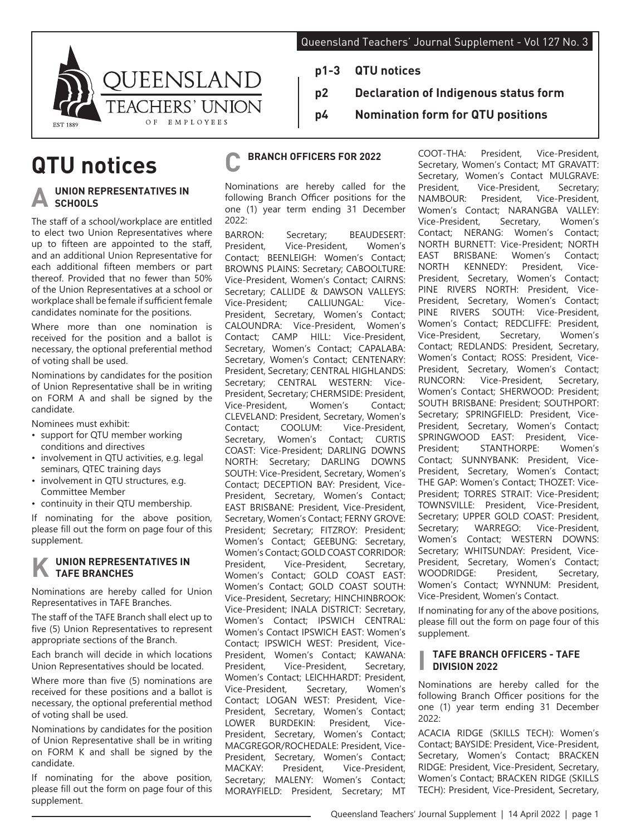**p2 Declaration of Indigenous status form**

**p4 Nomination form for QTU positions**



# **QTU notices**

## **UNION REPRESENTATIVES IN SCHOOLS**

The staff of a school/workplace are entitled to elect two Union Representatives where up to fifteen are appointed to the staff, and an additional Union Representative for each additional fifteen members or part thereof. Provided that no fewer than 50% of the Union Representatives at a school or workplace shall be female if sufficient female candidates nominate for the positions.

Where more than one nomination is received for the position and a ballot is necessary, the optional preferential method of voting shall be used.

Nominations by candidates for the position of Union Representative shall be in writing on FORM A and shall be signed by the candidate.

Nominees must exhibit:

- support for QTU member working conditions and directives
- involvement in QTU activities, e.g. legal seminars, QTEC training days
- involvement in QTU structures, e.g. Committee Member
- continuity in their QTU membership.

If nominating for the above position, please fill out the form on page four of this supplement.

## **UNION REPRESENTATIVES IN TAFE BRANCHES**

Nominations are hereby called for Union Representatives in TAFE Branches.

The staff of the TAFE Branch shall elect up to five (5) Union Representatives to represent appropriate sections of the Branch.

Each branch will decide in which locations Union Representatives should be located.

Where more than five (5) nominations are received for these positions and a ballot is necessary, the optional preferential method of voting shall be used.

Nominations by candidates for the position of Union Representative shall be in writing on FORM K and shall be signed by the candidate.

If nominating for the above position, please fill out the form on page four of this supplement.

## **C BRANCH OFFICERS FOR 2022**

**p1-3 QTU notices**

Nominations are hereby called for the following Branch Officer positions for the one (1) year term ending 31 December 2022:

BARRON: Secretary; BEAUDESERT:<br>President. Vice-President. Women's Vice-President, Contact; BEENLEIGH: Women's Contact; BROWNS PLAINS: Secretary; CABOOLTURE: Vice-President, Women's Contact; CAIRNS: Secretary; CALLIDE & DAWSON VALLEYS: Vice-President; CALLIUNGAL: Vice-President, Secretary, Women's Contact; CALOUNDRA: Vice-President, Women's Contact; CAMP HILL: Vice-President, Secretary, Women's Contact; CAPALABA: Secretary, Women's Contact; CENTENARY: President, Secretary; CENTRAL HIGHLANDS: Secretary; CENTRAL WESTERN: Vice-President, Secretary; CHERMSIDE: President,<br>Vice-President. Women's Contact: Vice-President, CLEVELAND: President, Secretary, Women's Contact; COOLUM: Vice-President, Secretary, Women's Contact; CURTIS COAST: Vice-President; DARLING DOWNS NORTH: Secretary; DARLING DOWNS SOUTH: Vice-President, Secretary, Women's Contact; DECEPTION BAY: President, Vice-President, Secretary, Women's Contact; EAST BRISBANE: President, Vice-President, Secretary, Women's Contact; FERNY GROVE: President; Secretary; FITZROY: President; Women's Contact; GEEBUNG: Secretary, Women's Contact; GOLD COAST CORRIDOR:<br>President. Vice-President, Secretary, President, Vice-President, Women's Contact; GOLD COAST EAST: Women's Contact; GOLD COAST SOUTH: Vice-President, Secretary; HINCHINBROOK: Vice-President; INALA DISTRICT: Secretary, Women's Contact; IPSWICH CENTRAL: Women's Contact IPSWICH EAST: Women's Contact; IPSWICH WEST: President, Vice-President, Women's Contact; KAWANA: President, Vice-President, Secretary, Women's Contact; LEICHHARDT: President,<br>Vice-President. Secretary, Women's Vice-President, Secretary, Women's Contact; LOGAN WEST: President, Vice-President, Secretary, Women's Contact; LOWER BURDEKIN: President, Vice-President, Secretary, Women's Contact; MACGREGOR/ROCHEDALE: President, Vice-President, Secretary, Women's Contact; MACKAY: President, Vice-President, Secretary; MALENY: Women's Contact; MORAYFIELD: President, Secretary; MT

COOT-THA: President, Vice-President, Secretary, Women's Contact; MT GRAVATT: Secretary, Women's Contact MULGRAVE:<br>President. Vice-President, Secretary; President, Vice-President, Secretary;<br>NAMBOUR: President, Vice-President, Vice-President, Women's Contact; NARANGBA VALLEY:<br>Vice-President, Secretary, Women's Vice-President, Contact; NERANG: Women's Contact; NORTH BURNETT: Vice-President; NORTH EAST BRISBANE: Women's Contact; NORTH KENNEDY: President, Vice-President, Secretary, Women's Contact; PINE RIVERS NORTH: President, Vice-President, Secretary, Women's Contact; PINE RIVERS SOUTH: Vice-President, Women's Contact; REDCLIFFE: President,<br>Vice-President, Secretary, Women's Vice-President, Contact; REDLANDS: President, Secretary, Women's Contact; ROSS: President, Vice-President, Secretary, Women's Contact;<br>RUNCORN: Vice-President. Secretary. Vice-President. Secretary, Women's Contact; SHERWOOD: President; SOUTH BRISBANE: President; SOUTHPORT: Secretary; SPRINGFIELD: President, Vice-President, Secretary, Women's Contact; SPRINGWOOD EAST: President, Vice-President; STANTHORPE: Women's Contact; SUNNYBANK: President, Vice-President, Secretary, Women's Contact; THE GAP: Women's Contact; THOZET: Vice-President; TORRES STRAIT: Vice-President; TOWNSVILLE: President, Vice-President, Secretary; UPPER GOLD COAST: President,<br>Secretary: WARREGO: Vice-President, WARREGO: Vice-President, Women's Contact; WESTERN DOWNS: Secretary; WHITSUNDAY: President, Vice-President, Secretary, Women's Contact; WOODRIDGE: President, Secretary, Women's Contact; WYNNUM: President, Vice-President, Women's Contact.

If nominating for any of the above positions, please fill out the form on page four of this supplement.

#### **I TAFE BRANCH OFFICERS - TAFE DIVISION 2022**

Nominations are hereby called for the following Branch Officer positions for the one (1) year term ending 31 December 2022:

ACACIA RIDGE (SKILLS TECH): Women's Contact; BAYSIDE: President, Vice-President, Secretary, Women's Contact; BRACKEN RIDGE: President, Vice-President, Secretary, Women's Contact; BRACKEN RIDGE (SKILLS TECH): President, Vice-President, Secretary,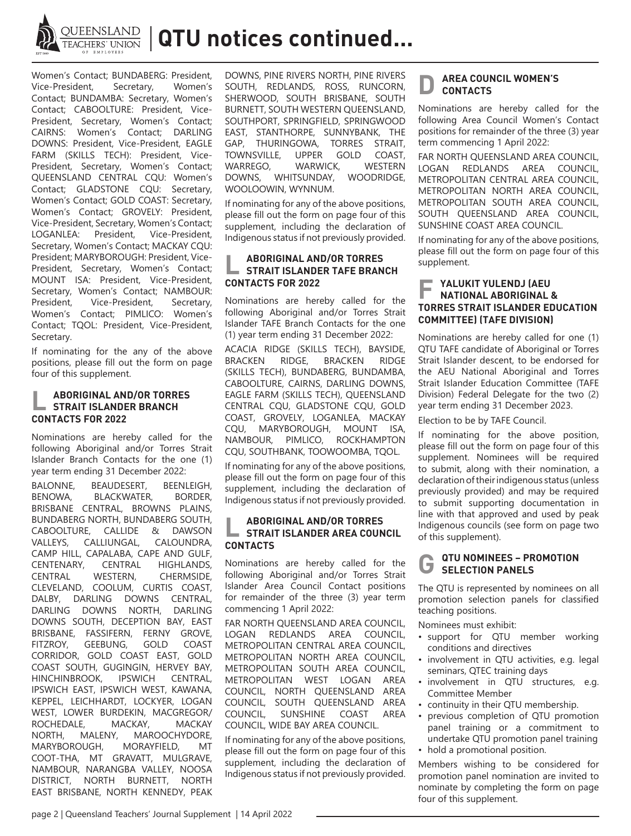

**QUEENSLAND | QTU notices continued...** 

Women's Contact; BUNDABERG: President,<br>Vice-President, Secretary, Women's Vice-President, Contact; BUNDAMBA: Secretary, Women's Contact; CABOOLTURE: President, Vice-President, Secretary, Women's Contact; CAIRNS: Women's Contact; DARLING DOWNS: President, Vice-President, EAGLE FARM (SKILLS TECH): President, Vice-President, Secretary, Women's Contact; QUEENSLAND CENTRAL CQU: Women's Contact; GLADSTONE CQU: Secretary, Women's Contact; GOLD COAST: Secretary, Women's Contact; GROVELY: President, Vice-President, Secretary, Women's Contact; LOGANLEA: President, Vice-President, Secretary, Women's Contact; MACKAY CQU: President; MARYBOROUGH: President, Vice-President, Secretary, Women's Contact; MOUNT ISA: President, Vice-President, Secretary, Women's Contact; NAMBOUR: President, Vice-President, Secretary, Women's Contact; PIMLICO: Women's Contact; TQOL: President, Vice-President, Secretary.

If nominating for the any of the above positions, please fill out the form on page four of this supplement.

#### **L ABORIGINAL AND/OR TORRES STRAIT ISLANDER BRANCH CONTACTS FOR 2022**

Nominations are hereby called for the following Aboriginal and/or Torres Strait Islander Branch Contacts for the one (1) year term ending 31 December 2022:

BALONNE, BEAUDESERT, BEENLEIGH,<br>BENOWA, BLACKWATER, BORDER, BLACKWATER, BORDER, BRISBANE CENTRAL, BROWNS PLAINS, BUNDABERG NORTH, BUNDABERG SOUTH, CABOOLTURE, CALLIDE & DAWSON VALLEYS, CALLIUNGAL, CALOUNDRA, CAMP HILL, CAPALABA, CAPE AND GULF, CENTENARY, CENTRAL HIGHLANDS,<br>CENTRAL WESTERN, CHERMSIDE, CENTRAL WESTERN, CHERMSIDE, CLEVELAND, COOLUM, CURTIS COAST, DALBY, DARLING DOWNS CENTRAL, DARLING DOWNS NORTH, DARLING DOWNS SOUTH, DECEPTION BAY, EAST BRISBANE, FASSIFERN, FERNY GROVE, FITZROY, GEEBUNG, GOLD COAST CORRIDOR, GOLD COAST EAST, GOLD COAST SOUTH, GUGINGIN, HERVEY BAY, HINCHINBROOK, IPSWICH CENTRAL, IPSWICH EAST, IPSWICH WEST, KAWANA, KEPPEL, LEICHHARDT, LOCKYER, LOGAN WEST, LOWER BURDEKIN, MACGREGOR/ ROCHEDALE, MACKAY, MACKAY NORTH, MALENY, MAROOCHYDORE, MARYBOROUGH, MORAYFIELD, MT COOT-THA, MT GRAVATT, MULGRAVE, NAMBOUR, NARANGBA VALLEY, NOOSA DISTRICT, NORTH BURNETT, NORTH EAST BRISBANE, NORTH KENNEDY, PEAK

DOWNS, PINE RIVERS NORTH, PINE RIVERS SOUTH, REDLANDS, ROSS, RUNCORN, SHERWOOD, SOUTH BRISBANE, SOUTH BURNETT, SOUTH WESTERN QUEENSLAND, SOUTHPORT, SPRINGFIELD, SPRINGWOOD EAST, STANTHORPE, SUNNYBANK, THE GAP, THURINGOWA, TORRES STRAIT, TOWNSVILLE, UPPER GOLD COAST, WARREGO, WARWICK, WESTERN<br>DOWNS, WHITSUNDAY, WOODRIDGE, DOWNS, WHITSUNDAY, WOOLOOWIN, WYNNUM.

If nominating for any of the above positions, please fill out the form on page four of this supplement, including the declaration of Indigenous status if not previously provided.

## **L ABORIGINAL AND/OR TORRES STRAIT ISLANDER TAFF BRANCH CONTACTS FOR 2022**

Nominations are hereby called for the following Aboriginal and/or Torres Strait Islander TAFE Branch Contacts for the one (1) year term ending 31 December 2022:

ACACIA RIDGE (SKILLS TECH), BAYSIDE, **BRACKEN** (SKILLS TECH), BUNDABERG, BUNDAMBA, CABOOLTURE, CAIRNS, DARLING DOWNS, EAGLE FARM (SKILLS TECH), QUEENSLAND CENTRAL CQU, GLADSTONE CQU, GOLD COAST, GROVELY, LOGANLEA, MACKAY CQU, MARYBOROUGH, MOUNT ISA, NAMBOUR, PIMLICO, ROCKHAMPTON CQU, SOUTHBANK, TOOWOOMBA, TQOL.

If nominating for any of the above positions, please fill out the form on page four of this supplement, including the declaration of Indigenous status if not previously provided.

## **L ABORIGINAL AND/OR TORRES STRAIT ISLANDER AREA COUNCIL CONTACTS**

Nominations are hereby called for the following Aboriginal and/or Torres Strait Islander Area Council Contact positions for remainder of the three (3) year term commencing 1 April 2022:

FAR NORTH QUEENSLAND AREA COUNCIL, LOGAN REDLANDS AREA COUNCIL, METROPOLITAN CENTRAL AREA COUNCIL, METROPOLITAN NORTH AREA COUNCIL, METROPOLITAN SOUTH AREA COUNCIL, METROPOLITAN WEST LOGAN AREA COUNCIL, NORTH QUEENSLAND AREA COUNCIL, SOUTH QUEENSLAND AREA<br>COUNCIL, SUNSHINE COAST AREA SUNSHINE COUNCIL, WIDE BAY AREA COUNCIL.

If nominating for any of the above positions, please fill out the form on page four of this supplement, including the declaration of Indigenous status if not previously provided.

## **AREA COUNCIL WOMEN'S CONTACTS**

Nominations are hereby called for the following Area Council Women's Contact positions for remainder of the three (3) year term commencing 1 April 2022:

FAR NORTH QUEENSLAND AREA COUNCIL, LOGAN REDLANDS AREA COUNCIL, METROPOLITAN CENTRAL AREA COUNCIL, METROPOLITAN NORTH AREA COUNCIL, METROPOLITAN SOUTH AREA COUNCIL, SOUTH QUEENSLAND AREA COUNCIL, SUNSHINE COAST AREA COUNCIL.

If nominating for any of the above positions, please fill out the form on page four of this supplement.

## **F YALUKIT YULENDJ (AEU NATIONAL ABORIGINAL & TORRES STRAIT ISLANDER EDUCATION COMMITTEE) (TAFE DIVISION)**

Nominations are hereby called for one (1) QTU TAFE candidate of Aboriginal or Torres Strait Islander descent, to be endorsed for the AEU National Aboriginal and Torres Strait Islander Education Committee (TAFE Division) Federal Delegate for the two (2) year term ending 31 December 2023.

Election to be by TAFE Council.

If nominating for the above position, please fill out the form on page four of this supplement. Nominees will be required to submit, along with their nomination, a declaration of their indigenous status (unless previously provided) and may be required to submit supporting documentation in line with that approved and used by peak Indigenous councils (see form on page two of this supplement).

## **G QTU NOMINEES – PROMOTION SELECTION PANELS**

The QTU is represented by nominees on all promotion selection panels for classified teaching positions.

Nominees must exhibit:

- support for QTU member working conditions and directives
- involvement in QTU activities, e.g. legal seminars, QTEC training days
- involvement in QTU structures, e.g. Committee Member
- continuity in their QTU membership.
- previous completion of QTU promotion panel training or a commitment to undertake QTU promotion panel training • hold a promotional position.

Members wishing to be considered for promotion panel nomination are invited to nominate by completing the form on page four of this supplement.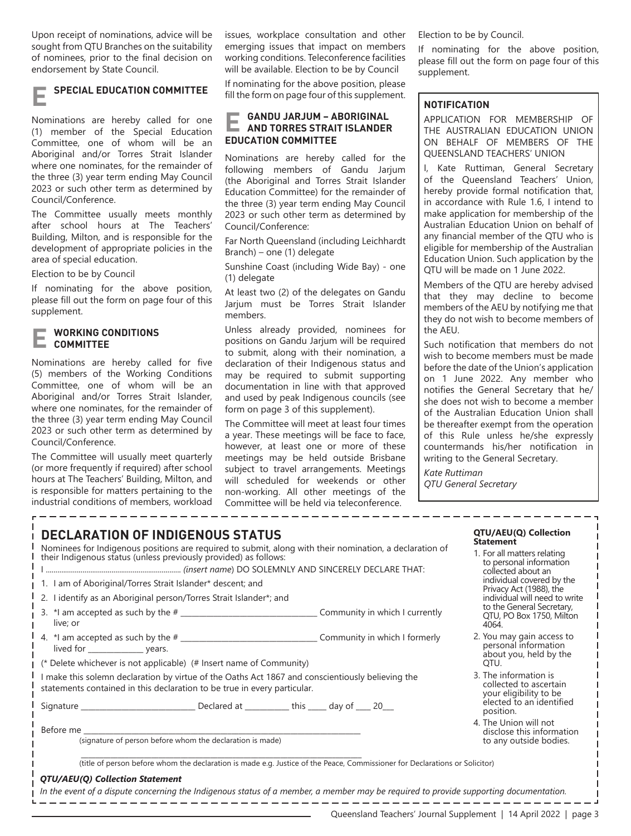Upon receipt of nominations, advice will be sought from QTU Branches on the suitability of nominees, prior to the final decision on endorsement by State Council.

## **E SPECIAL EDUCATION COMMITTEE**

Nominations are hereby called for one (1) member of the Special Education Committee, one of whom will be an Aboriginal and/or Torres Strait Islander where one nominates, for the remainder of the three (3) year term ending May Council 2023 or such other term as determined by Council/Conference.

The Committee usually meets monthly after school hours at The Teachers' Building, Milton, and is responsible for the development of appropriate policies in the area of special education.

Election to be by Council

If nominating for the above position, please fill out the form on page four of this supplement.

### **E WORKING CONDITIONS COMMITTEE**

Nominations are hereby called for five (5) members of the Working Conditions Committee, one of whom will be an Aboriginal and/or Torres Strait Islander, where one nominates, for the remainder of the three (3) year term ending May Council 2023 or such other term as determined by Council/Conference.

The Committee will usually meet quarterly (or more frequently if required) after school hours at The Teachers' Building, Milton, and is responsible for matters pertaining to the industrial conditions of members, workload issues, workplace consultation and other emerging issues that impact on members working conditions. Teleconference facilities will be available. Election to be by Council

If nominating for the above position, please fill the form on page four of this supplement.

## **E GANDU JARJUM – ABORIGINAL AND TORRES STRAIT ISLANDER EDUCATION COMMITTEE**

Nominations are hereby called for the following members of Gandu Jarjum (the Aboriginal and Torres Strait Islander Education Committee) for the remainder of the three (3) year term ending May Council 2023 or such other term as determined by Council/Conference:

Far North Queensland (including Leichhardt Branch) – one (1) delegate

Sunshine Coast (including Wide Bay) - one (1) delegate

At least two (2) of the delegates on Gandu Jarjum must be Torres Strait Islander members.

Unless already provided, nominees for positions on Gandu Jarjum will be required to submit, along with their nomination, a declaration of their Indigenous status and may be required to submit supporting documentation in line with that approved and used by peak Indigenous councils (see form on page 3 of this supplement).

The Committee will meet at least four times a year. These meetings will be face to face, however, at least one or more of these meetings may be held outside Brisbane subject to travel arrangements. Meetings will scheduled for weekends or other non-working. All other meetings of the Committee will be held via teleconference.

Election to be by Council.

If nominating for the above position, please fill out the form on page four of this supplement.

## **NOTIFICATION**

APPLICATION FOR MEMBERSHIP OF THE AUSTRALIAN EDUCATION UNION ON BEHALF OF MEMBERS OF THE QUEENSLAND TEACHERS' UNION

I, Kate Ruttiman, General Secretary of the Queensland Teachers' Union, hereby provide formal notification that, in accordance with Rule 1.6, I intend to make application for membership of the Australian Education Union on behalf of any financial member of the QTU who is eligible for membership of the Australian Education Union. Such application by the QTU will be made on 1 June 2022.

Members of the QTU are hereby advised that they may decline to become members of the AEU by notifying me that they do not wish to become members of the AEU.

Such notification that members do not wish to become members must be made before the date of the Union's application on 1 June 2022. Any member who notifies the General Secretary that he/ she does not wish to become a member of the Australian Education Union shall be thereafter exempt from the operation of this Rule unless he/she expressly countermands his/her notification in writing to the General Secretary.

**QTU/AEU(Q) Collection** 

1. For all matters relating to personal information

4. The Union will not disclose this information to any outside bodies.

**Statement**

*Kate Ruttiman QTU General Secretary*

## **DECLARATION OF INDIGENOUS STATUS**

Nominees for Indigenous positions are required to submit, along with their nomination, a declaration of their Indigenous status (unless previously provided) as follows: I ...................................................................... *(insert name*) DO SOLEMNLY AND SINCERELY DECLARE THAT:

|                                                                                                                                                                              |                                                                     | collected about an<br>individual covered by the<br>Privacy Act (1988), the<br>individual will need to write |                                                                             |
|------------------------------------------------------------------------------------------------------------------------------------------------------------------------------|---------------------------------------------------------------------|-------------------------------------------------------------------------------------------------------------|-----------------------------------------------------------------------------|
|                                                                                                                                                                              | 1. I am of Aboriginal/Torres Strait Islander* descent; and          |                                                                                                             |                                                                             |
|                                                                                                                                                                              | 2. I identify as an Aboriginal person/Torres Strait Islander*; and  |                                                                                                             |                                                                             |
|                                                                                                                                                                              | 3. $*$ I am accepted as such by the $#$<br>live: or                 | Community in which I currently                                                                              | to the General Secretary,<br>QTU, PO Box 1750, Milton<br>4064.              |
|                                                                                                                                                                              | lived for ______________________ years.                             |                                                                                                             | 2. You may gain access to<br>personal information<br>about you, held by the |
|                                                                                                                                                                              | (* Delete whichever is not applicable) (# Insert name of Community) | OTU.                                                                                                        |                                                                             |
| I make this solemn declaration by virtue of the Oaths Act 1867 and conscientiously believing the<br>statements contained in this declaration to be true in every particular. |                                                                     |                                                                                                             | 3. The information is<br>collected to ascertain<br>your eligibility to be   |
|                                                                                                                                                                              |                                                                     |                                                                                                             | elected to an identified<br>nosition                                        |

#### Before me

(signature of person before whom the declaration is made)

\_\_\_\_\_\_\_\_\_\_\_\_\_\_\_\_\_\_\_\_\_\_\_\_\_\_\_\_\_\_\_\_\_\_\_\_\_\_\_\_\_\_\_\_\_\_\_\_\_\_\_\_\_\_\_\_\_\_\_\_\_\_\_\_\_\_\_\_\_\_\_\_\_\_\_\_ (title of person before whom the declaration is made e.g. Justice of the Peace, Commissioner for Declarations or Solicitor)

#### *QTU/AEU(Q) Collection Statement*

*In the event of a dispute concerning the Indigenous status of a member, a member may be required to provide supporting documentation.*